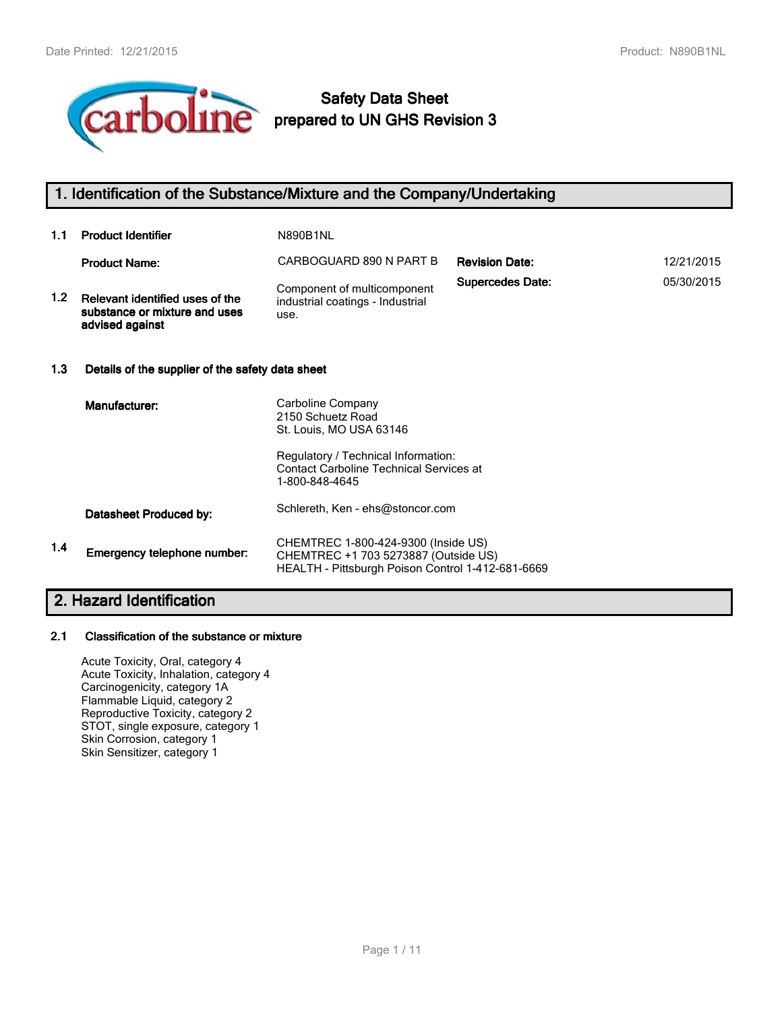

# **Safety Data Sheet prepared to UN GHS Revision 3**

## **1. Identification of the Substance/Mixture and the Company/Undertaking**

| 1.1              | <b>Product Identifier</b>                                                           | <b>N890B1NL</b>                                                                       |                         |            |
|------------------|-------------------------------------------------------------------------------------|---------------------------------------------------------------------------------------|-------------------------|------------|
|                  | <b>Product Name:</b>                                                                | CARBOGUARD 890 N PART B                                                               | <b>Revision Date:</b>   | 12/21/2015 |
| 1.2 <sub>2</sub> | Relevant identified uses of the<br>substance or mixture and uses<br>advised against | Component of multicomponent<br>industrial coatings - Industrial<br>use.               | <b>Supercedes Date:</b> | 05/30/2015 |
| 1.3              | Details of the supplier of the safety data sheet                                    |                                                                                       |                         |            |
|                  | Manufacturer:                                                                       | Carboline Company<br>2150 Schuetz Road<br>St. Louis, MO USA 63146                     |                         |            |
|                  |                                                                                     | Regulatory / Technical Information:<br><b>Contact Carboline Technical Services at</b> |                         |            |

1-800-848-4645 Schlereth, Ken - ehs@stoncor.com **Datasheet Produced by: 1.4** CHEMTREC 1-800-424-9300 (Inside US) CHEMTREC +1 703 5273887 (Outside US) HEALTH - Pittsburgh Poison Control 1-412-681-6669 **Emergency telephone number:**

## **2. Hazard Identification**

## **2.1 Classification of the substance or mixture**

Acute Toxicity, Oral, category 4 Acute Toxicity, Inhalation, category 4 Carcinogenicity, category 1A Flammable Liquid, category 2 Reproductive Toxicity, category 2 STOT, single exposure, category 1 Skin Corrosion, category 1 Skin Sensitizer, category 1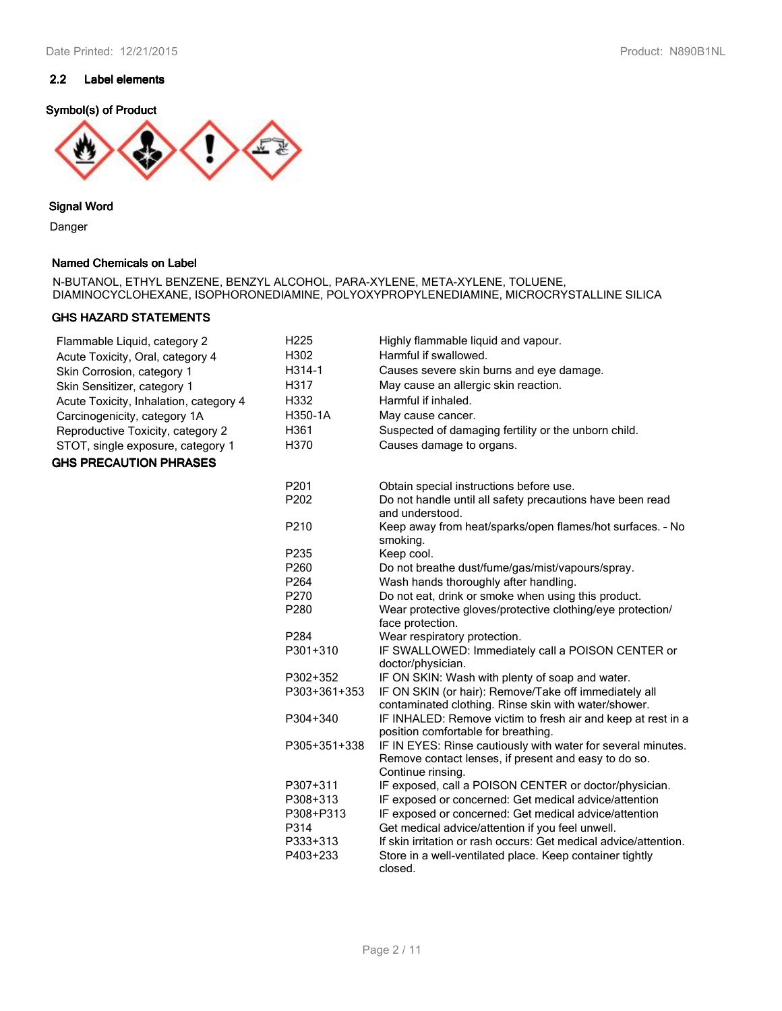## **2.2 Label elements**

## **Symbol(s) of Product**



## **Signal Word**

Danger

## **Named Chemicals on Label**

N-BUTANOL, ETHYL BENZENE, BENZYL ALCOHOL, PARA-XYLENE, META-XYLENE, TOLUENE, DIAMINOCYCLOHEXANE, ISOPHORONEDIAMINE, POLYOXYPROPYLENEDIAMINE, MICROCRYSTALLINE SILICA

## **GHS HAZARD STATEMENTS**

| Flammable Liquid, category 2           | H <sub>225</sub> | Highly flammable liquid and vapour.                                                                                  |
|----------------------------------------|------------------|----------------------------------------------------------------------------------------------------------------------|
| Acute Toxicity, Oral, category 4       | H302             | Harmful if swallowed.                                                                                                |
| Skin Corrosion, category 1             | H314-1           | Causes severe skin burns and eye damage.                                                                             |
| Skin Sensitizer, category 1            | H317             | May cause an allergic skin reaction.                                                                                 |
| Acute Toxicity, Inhalation, category 4 | H332             | Harmful if inhaled.                                                                                                  |
| Carcinogenicity, category 1A           | H350-1A          | May cause cancer.                                                                                                    |
| Reproductive Toxicity, category 2      | H361             | Suspected of damaging fertility or the unborn child.                                                                 |
| STOT, single exposure, category 1      | H370             | Causes damage to organs.                                                                                             |
| <b>GHS PRECAUTION PHRASES</b>          |                  |                                                                                                                      |
|                                        |                  |                                                                                                                      |
|                                        | P201             | Obtain special instructions before use.                                                                              |
|                                        | P202             | Do not handle until all safety precautions have been read<br>and understood.                                         |
|                                        | P210             | Keep away from heat/sparks/open flames/hot surfaces. - No<br>smoking.                                                |
|                                        | P235             | Keep cool.                                                                                                           |
|                                        | P260             | Do not breathe dust/fume/gas/mist/vapours/spray.                                                                     |
|                                        | P <sub>264</sub> | Wash hands thoroughly after handling.                                                                                |
|                                        | P270             | Do not eat, drink or smoke when using this product.                                                                  |
|                                        | P280             | Wear protective gloves/protective clothing/eye protection/<br>face protection.                                       |
|                                        | P284             | Wear respiratory protection.                                                                                         |
|                                        | P301+310         | IF SWALLOWED: Immediately call a POISON CENTER or                                                                    |
|                                        |                  | doctor/physician.                                                                                                    |
|                                        | P302+352         | IF ON SKIN: Wash with plenty of soap and water.                                                                      |
|                                        | P303+361+353     | IF ON SKIN (or hair): Remove/Take off immediately all                                                                |
|                                        |                  | contaminated clothing. Rinse skin with water/shower.                                                                 |
|                                        | P304+340         | IF INHALED: Remove victim to fresh air and keep at rest in a                                                         |
|                                        |                  | position comfortable for breathing.                                                                                  |
|                                        | P305+351+338     | IF IN EYES: Rinse cautiously with water for several minutes.<br>Remove contact lenses, if present and easy to do so. |
|                                        |                  | Continue rinsing.                                                                                                    |
|                                        | P307+311         | IF exposed, call a POISON CENTER or doctor/physician.                                                                |
|                                        | P308+313         | IF exposed or concerned: Get medical advice/attention                                                                |
|                                        | P308+P313        | IF exposed or concerned: Get medical advice/attention                                                                |
|                                        | P314             | Get medical advice/attention if you feel unwell.                                                                     |
|                                        | P333+313         | If skin irritation or rash occurs: Get medical advice/attention.                                                     |
|                                        | P403+233         | Store in a well-ventilated place. Keep container tightly<br>closed.                                                  |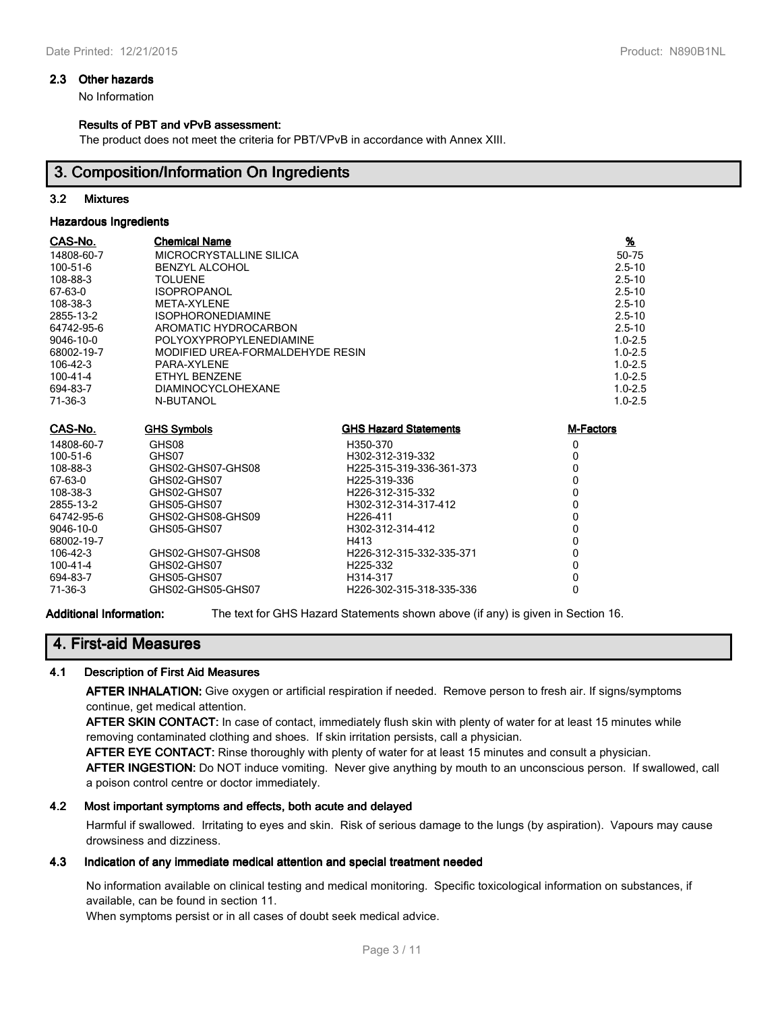#### **2.3 Other hazards**

No Information

#### **Results of PBT and vPvB assessment:**

The product does not meet the criteria for PBT/VPvB in accordance with Annex XIII.

## **3. Composition/Information On Ingredients**

## **3.2 Mixtures**

#### **Hazardous Ingredients**

| CAS-No.<br>14808-60-7<br>100-51-6<br>108-88-3<br>67-63-0<br>108-38-3<br>2855-13-2<br>64742-95-6<br>9046-10-0<br>68002-19-7<br>$106 - 42 - 3$<br>$100 - 41 - 4$<br>694-83-7<br>71-36-3 | <b>Chemical Name</b><br>MICROCRYSTALLINE SILICA<br><b>BENZYL ALCOHOL</b><br><b>TOLUENE</b><br><b>ISOPROPANOL</b><br>META-XYLENE<br><b>ISOPHORONEDIAMINE</b><br>AROMATIC HYDROCARBON<br>POLYOXYPROPYLENEDIAMINE<br>MODIFIED UREA-FORMALDEHYDE RESIN<br>PARA-XYLENE<br>ETHYL BENZENE<br><b>DIAMINOCYCLOHEXANE</b><br>N-BUTANOL |                              | $\frac{9}{6}$<br>50-75<br>$2.5 - 10$<br>$2.5 - 10$<br>$2.5 - 10$<br>$2.5 - 10$<br>$2.5 - 10$<br>$2.5 - 10$<br>$1.0 - 2.5$<br>$1.0 - 2.5$<br>$1.0 - 2.5$<br>$1.0 - 2.5$<br>$1.0 - 2.5$<br>$1.0 - 2.5$ |
|---------------------------------------------------------------------------------------------------------------------------------------------------------------------------------------|------------------------------------------------------------------------------------------------------------------------------------------------------------------------------------------------------------------------------------------------------------------------------------------------------------------------------|------------------------------|------------------------------------------------------------------------------------------------------------------------------------------------------------------------------------------------------|
| CAS-No.                                                                                                                                                                               | <b>GHS Symbols</b>                                                                                                                                                                                                                                                                                                           | <b>GHS Hazard Statements</b> | M-Factors                                                                                                                                                                                            |
| 14808-60-7                                                                                                                                                                            | GHS08                                                                                                                                                                                                                                                                                                                        | H350-370                     | 0                                                                                                                                                                                                    |
| 100-51-6                                                                                                                                                                              | GHS07                                                                                                                                                                                                                                                                                                                        | H302-312-319-332             | 0                                                                                                                                                                                                    |
| 108-88-3                                                                                                                                                                              | GHS02-GHS07-GHS08                                                                                                                                                                                                                                                                                                            | H225-315-319-336-361-373     | 0                                                                                                                                                                                                    |
| 67-63-0                                                                                                                                                                               | GHS02-GHS07                                                                                                                                                                                                                                                                                                                  | H225-319-336                 | 0                                                                                                                                                                                                    |
| 108-38-3                                                                                                                                                                              | GHS02-GHS07                                                                                                                                                                                                                                                                                                                  | H226-312-315-332             | 0                                                                                                                                                                                                    |
| 2855-13-2                                                                                                                                                                             | GHS05-GHS07                                                                                                                                                                                                                                                                                                                  | H302-312-314-317-412         | 0                                                                                                                                                                                                    |
| 64742-95-6                                                                                                                                                                            | GHS02-GHS08-GHS09                                                                                                                                                                                                                                                                                                            | H <sub>226</sub> -411        | 0                                                                                                                                                                                                    |
| 9046-10-0                                                                                                                                                                             | GHS05-GHS07                                                                                                                                                                                                                                                                                                                  | H302-312-314-412             | 0                                                                                                                                                                                                    |
| 68002-19-7                                                                                                                                                                            |                                                                                                                                                                                                                                                                                                                              | H413                         | 0                                                                                                                                                                                                    |
| 106-42-3                                                                                                                                                                              | GHS02-GHS07-GHS08                                                                                                                                                                                                                                                                                                            | H226-312-315-332-335-371     | 0                                                                                                                                                                                                    |
| 100-41-4                                                                                                                                                                              | GHS02-GHS07                                                                                                                                                                                                                                                                                                                  | H225-332                     | 0                                                                                                                                                                                                    |
| 694-83-7                                                                                                                                                                              | GHS05-GHS07                                                                                                                                                                                                                                                                                                                  | H314-317                     | 0                                                                                                                                                                                                    |
| 71-36-3                                                                                                                                                                               | GHS02-GHS05-GHS07                                                                                                                                                                                                                                                                                                            | H226-302-315-318-335-336     | 0                                                                                                                                                                                                    |

**Additional Information:** The text for GHS Hazard Statements shown above (if any) is given in Section 16.

## **4. First-aid Measures**

## **4.1 Description of First Aid Measures**

**AFTER INHALATION:** Give oxygen or artificial respiration if needed. Remove person to fresh air. If signs/symptoms continue, get medical attention.

**AFTER SKIN CONTACT:** In case of contact, immediately flush skin with plenty of water for at least 15 minutes while removing contaminated clothing and shoes. If skin irritation persists, call a physician.

**AFTER EYE CONTACT:** Rinse thoroughly with plenty of water for at least 15 minutes and consult a physician.

**AFTER INGESTION:** Do NOT induce vomiting. Never give anything by mouth to an unconscious person. If swallowed, call a poison control centre or doctor immediately.

## **4.2 Most important symptoms and effects, both acute and delayed**

Harmful if swallowed. Irritating to eyes and skin. Risk of serious damage to the lungs (by aspiration). Vapours may cause drowsiness and dizziness.

## **4.3 Indication of any immediate medical attention and special treatment needed**

No information available on clinical testing and medical monitoring. Specific toxicological information on substances, if available, can be found in section 11.

When symptoms persist or in all cases of doubt seek medical advice.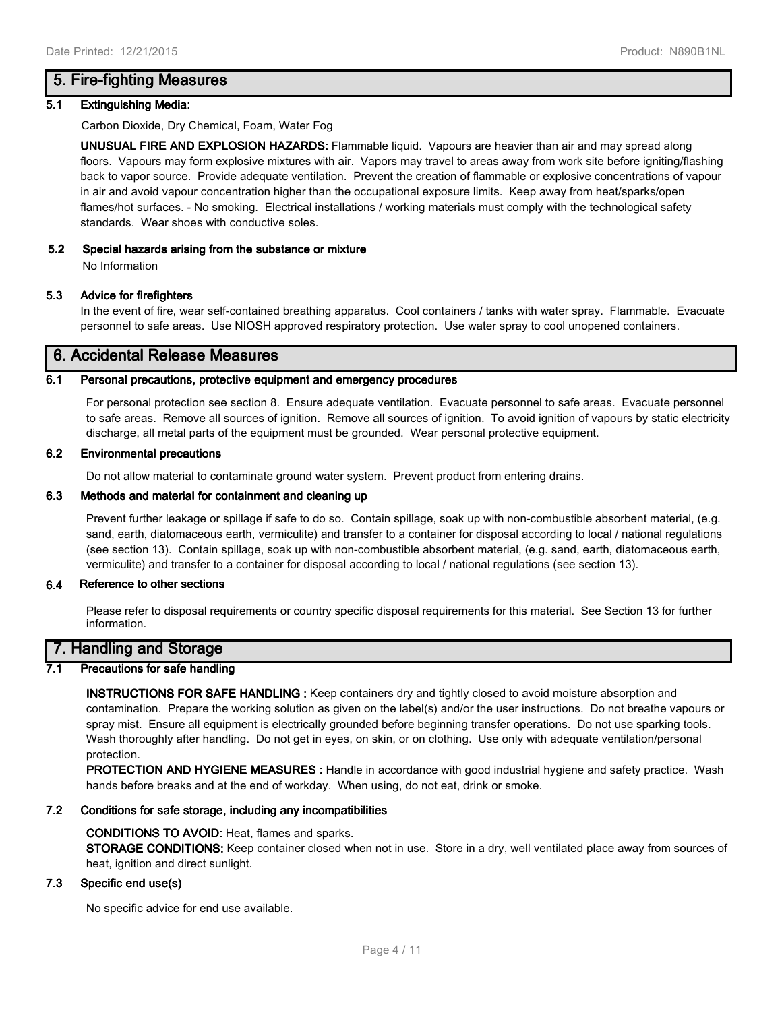## **5. Fire-fighting Measures**

#### **5.1 Extinguishing Media:**

Carbon Dioxide, Dry Chemical, Foam, Water Fog

**UNUSUAL FIRE AND EXPLOSION HAZARDS:** Flammable liquid. Vapours are heavier than air and may spread along floors. Vapours may form explosive mixtures with air. Vapors may travel to areas away from work site before igniting/flashing back to vapor source. Provide adequate ventilation. Prevent the creation of flammable or explosive concentrations of vapour in air and avoid vapour concentration higher than the occupational exposure limits. Keep away from heat/sparks/open flames/hot surfaces. - No smoking. Electrical installations / working materials must comply with the technological safety standards. Wear shoes with conductive soles.

## **5.2 Special hazards arising from the substance or mixture**

No Information

## **5.3 Advice for firefighters**

In the event of fire, wear self-contained breathing apparatus. Cool containers / tanks with water spray. Flammable. Evacuate personnel to safe areas. Use NIOSH approved respiratory protection. Use water spray to cool unopened containers.

## **6. Accidental Release Measures**

#### **6.1 Personal precautions, protective equipment and emergency procedures**

For personal protection see section 8. Ensure adequate ventilation. Evacuate personnel to safe areas. Evacuate personnel to safe areas. Remove all sources of ignition. Remove all sources of ignition. To avoid ignition of vapours by static electricity discharge, all metal parts of the equipment must be grounded. Wear personal protective equipment.

#### **6.2 Environmental precautions**

Do not allow material to contaminate ground water system. Prevent product from entering drains.

#### **6.3 Methods and material for containment and cleaning up**

Prevent further leakage or spillage if safe to do so. Contain spillage, soak up with non-combustible absorbent material, (e.g. sand, earth, diatomaceous earth, vermiculite) and transfer to a container for disposal according to local / national regulations (see section 13). Contain spillage, soak up with non-combustible absorbent material, (e.g. sand, earth, diatomaceous earth, vermiculite) and transfer to a container for disposal according to local / national regulations (see section 13).

#### **6.4 Reference to other sections**

Please refer to disposal requirements or country specific disposal requirements for this material. See Section 13 for further information.

## **7. Handling and Storage**

## **7.1 Precautions for safe handling**

**INSTRUCTIONS FOR SAFE HANDLING :** Keep containers dry and tightly closed to avoid moisture absorption and contamination. Prepare the working solution as given on the label(s) and/or the user instructions. Do not breathe vapours or spray mist. Ensure all equipment is electrically grounded before beginning transfer operations. Do not use sparking tools. Wash thoroughly after handling. Do not get in eyes, on skin, or on clothing. Use only with adequate ventilation/personal protection.

**PROTECTION AND HYGIENE MEASURES :** Handle in accordance with good industrial hygiene and safety practice. Wash hands before breaks and at the end of workday. When using, do not eat, drink or smoke.

#### **7.2 Conditions for safe storage, including any incompatibilities**

#### **CONDITIONS TO AVOID:** Heat, flames and sparks.

**STORAGE CONDITIONS:** Keep container closed when not in use. Store in a dry, well ventilated place away from sources of heat, ignition and direct sunlight.

## **7.3 Specific end use(s)**

No specific advice for end use available.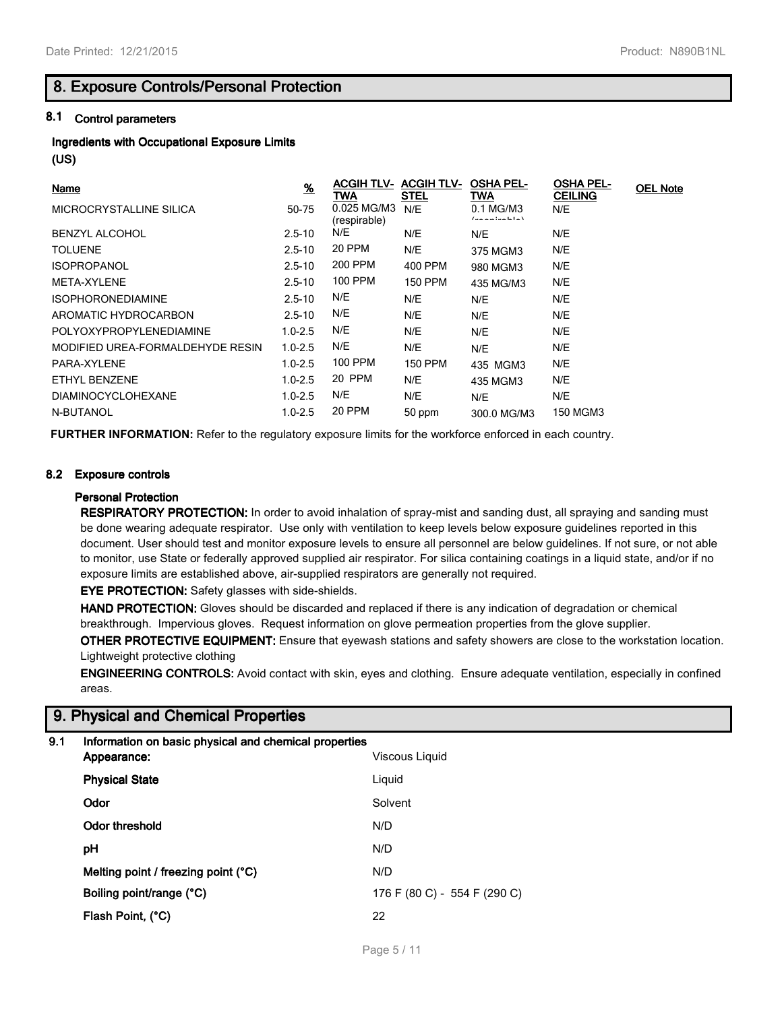## **8. Exposure Controls/Personal Protection**

## **8.1 Control parameters**

# **Ingredients with Occupational Exposure Limits**

**(US)**

| <b>Name</b>                      | $\frac{9}{6}$ | <b>ACGIH TLV-</b><br>TWA    | <b>ACGIH TLV-</b><br><b>STEL</b> | <b>OSHA PEL-</b><br>TWA                      | <b>OSHA PEL-</b><br><b>CEILING</b> | <b>OEL Note</b> |
|----------------------------------|---------------|-----------------------------|----------------------------------|----------------------------------------------|------------------------------------|-----------------|
| MICROCRYSTALLINE SILICA          | 50-75         | 0.025 MG/M3<br>(respirable) | N/E                              | 0.1 MG/M3<br>$\sim$ for a limit of $\lambda$ | N/E                                |                 |
| <b>BENZYL ALCOHOL</b>            | $2.5 - 10$    | N/E                         | N/E                              | N/E                                          | N/E                                |                 |
| <b>TOLUENE</b>                   | $2.5 - 10$    | 20 PPM                      | N/E                              | 375 MGM3                                     | N/E                                |                 |
| <b>ISOPROPANOL</b>               | $2.5 - 10$    | 200 PPM                     | 400 PPM                          | 980 MGM3                                     | N/E                                |                 |
| META-XYLENE                      | $2.5 - 10$    | 100 PPM                     | <b>150 PPM</b>                   | 435 MG/M3                                    | N/E                                |                 |
| <b>ISOPHORONEDIAMINE</b>         | $2.5 - 10$    | N/E                         | N/E                              | N/E                                          | N/E                                |                 |
| AROMATIC HYDROCARBON             | $2.5 - 10$    | N/E                         | N/E                              | N/E                                          | N/E                                |                 |
| POLYOXYPROPYLENEDIAMINE          | $1.0 - 2.5$   | N/E                         | N/E                              | N/E                                          | N/E                                |                 |
| MODIFIED UREA-FORMALDEHYDE RESIN | $1.0 - 2.5$   | N/E                         | N/E                              | N/E                                          | N/E                                |                 |
| PARA-XYLENE                      | $1.0 - 2.5$   | 100 PPM                     | <b>150 PPM</b>                   | 435 MGM3                                     | N/E                                |                 |
| ETHYL BENZENE                    | $1.0 - 2.5$   | 20 PPM                      | N/E                              | 435 MGM3                                     | N/E                                |                 |
| <b>DIAMINOCYCLOHEXANE</b>        | $1.0 - 2.5$   | N/E                         | N/E                              | N/E                                          | N/E                                |                 |
| N-BUTANOL                        | $1.0 - 2.5$   | 20 PPM                      | 50 ppm                           | 300.0 MG/M3                                  | 150 MGM3                           |                 |

**FURTHER INFORMATION:** Refer to the regulatory exposure limits for the workforce enforced in each country.

## **8.2 Exposure controls**

## **Personal Protection**

**RESPIRATORY PROTECTION:** In order to avoid inhalation of spray-mist and sanding dust, all spraying and sanding must be done wearing adequate respirator. Use only with ventilation to keep levels below exposure guidelines reported in this document. User should test and monitor exposure levels to ensure all personnel are below guidelines. If not sure, or not able to monitor, use State or federally approved supplied air respirator. For silica containing coatings in a liquid state, and/or if no exposure limits are established above, air-supplied respirators are generally not required.

**EYE PROTECTION:** Safety glasses with side-shields.

**HAND PROTECTION:** Gloves should be discarded and replaced if there is any indication of degradation or chemical breakthrough. Impervious gloves. Request information on glove permeation properties from the glove supplier.

**OTHER PROTECTIVE EQUIPMENT:** Ensure that eyewash stations and safety showers are close to the workstation location. Lightweight protective clothing

**ENGINEERING CONTROLS:** Avoid contact with skin, eyes and clothing. Ensure adequate ventilation, especially in confined areas.

## **9. Physical and Chemical Properties**

| 9.1 | Information on basic physical |  |  |
|-----|-------------------------------|--|--|
|     |                               |  |  |

| Appearance:                         | Viscous Liquid               |
|-------------------------------------|------------------------------|
| <b>Physical State</b>               | Liquid                       |
| Odor                                | Solvent                      |
| Odor threshold                      | N/D                          |
| рH                                  | N/D                          |
| Melting point / freezing point (°C) | N/D                          |
| Boiling point/range (°C)            | 176 F (80 C) - 554 F (290 C) |
| Flash Point, (°C)                   | 22                           |
|                                     |                              |

**9.1 Information on basic physical and chemical properties**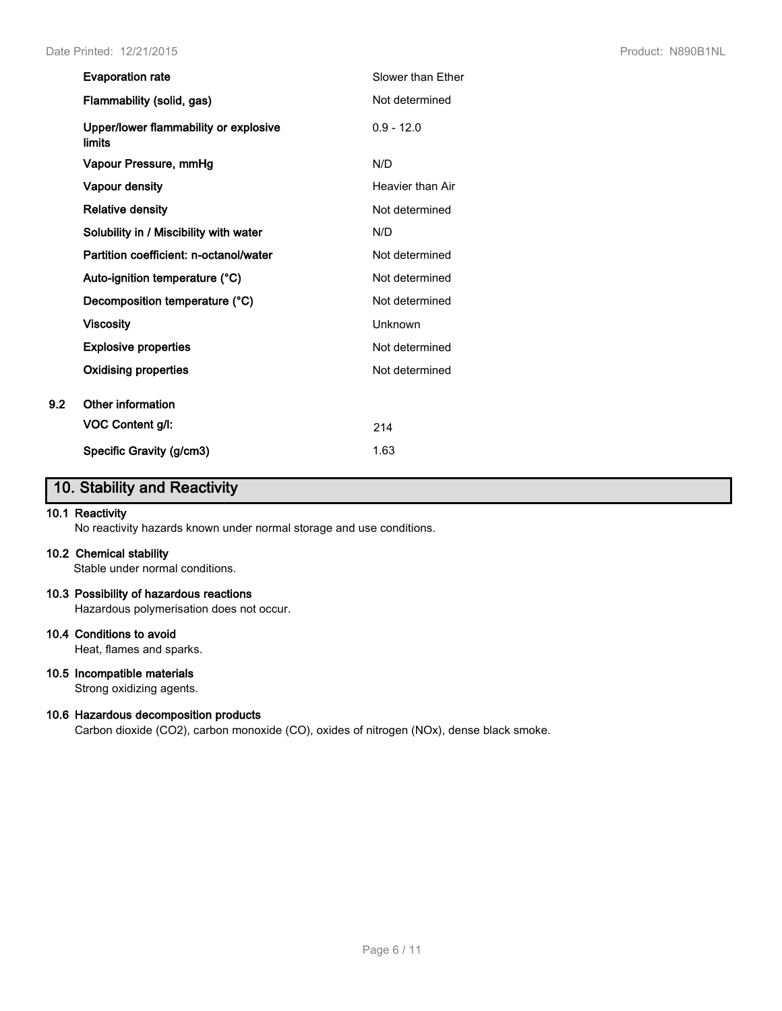|     | <b>Evaporation rate</b>                         | Slower than Ether |
|-----|-------------------------------------------------|-------------------|
|     | Flammability (solid, gas)                       | Not determined    |
|     | Upper/lower flammability or explosive<br>limits | $0.9 - 12.0$      |
|     | Vapour Pressure, mmHg                           | N/D               |
|     | <b>Vapour density</b>                           | Heavier than Air  |
|     | <b>Relative density</b>                         | Not determined    |
|     | Solubility in / Miscibility with water          | N/D               |
|     | Partition coefficient: n-octanol/water          | Not determined    |
|     | Auto-ignition temperature (°C)                  | Not determined    |
|     | Decomposition temperature (°C)                  | Not determined    |
|     | <b>Viscosity</b>                                | Unknown           |
|     | <b>Explosive properties</b>                     | Not determined    |
|     | <b>Oxidising properties</b>                     | Not determined    |
| 9.2 | Other information                               |                   |
|     | VOC Content g/l:                                | 214               |
|     | Specific Gravity (g/cm3)                        | 1.63              |

# **10. Stability and Reactivity**

## **10.1 Reactivity**

No reactivity hazards known under normal storage and use conditions.

#### **10.2 Chemical stability**

Stable under normal conditions.

#### **10.3 Possibility of hazardous reactions**

Hazardous polymerisation does not occur.

## **10.4 Conditions to avoid**

Heat, flames and sparks.

## **10.5 Incompatible materials**

Strong oxidizing agents.

## **10.6 Hazardous decomposition products**

Carbon dioxide (CO2), carbon monoxide (CO), oxides of nitrogen (NOx), dense black smoke.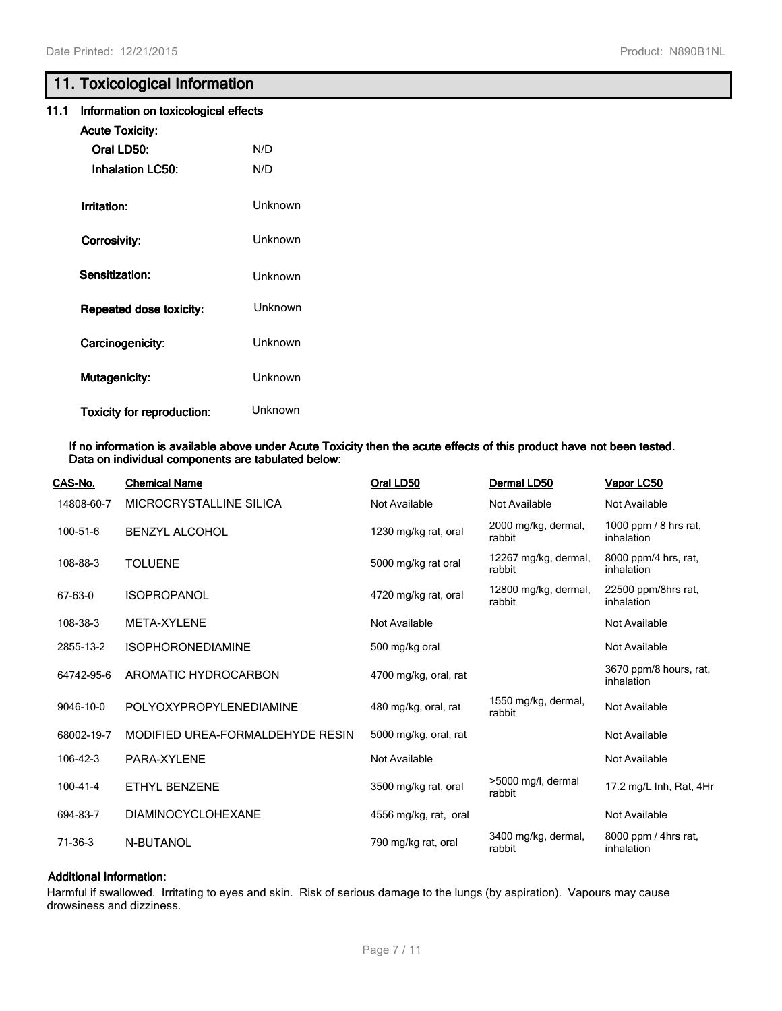## **11. Toxicological Information**

|  | 11.1 Information on toxicological effects |  |  |  |
|--|-------------------------------------------|--|--|--|
|--|-------------------------------------------|--|--|--|

| <b>Acute Toxicity:</b><br>Oral LD50:<br><b>Inhalation LC50:</b> | N/D<br>N/D |
|-----------------------------------------------------------------|------------|
| Irritation:                                                     | Unknown    |
| Corrosivity:                                                    | Unknown    |
| Sensitization:                                                  | Unknown    |
| <b>Repeated dose toxicity:</b>                                  | Unknown    |
| Carcinogenicity:                                                | Unknown    |
| <b>Mutagenicity:</b>                                            | Unknown    |
| <b>Toxicity for reproduction:</b>                               | Unknown    |

#### **If no information is available above under Acute Toxicity then the acute effects of this product have not been tested. Data on individual components are tabulated below:**

| CAS-No.        | <b>Chemical Name</b>             | Oral LD50             | Dermal LD50                    | Vapor LC50                           |
|----------------|----------------------------------|-----------------------|--------------------------------|--------------------------------------|
| 14808-60-7     | MICROCRYSTALLINE SILICA          | Not Available         | Not Available                  | Not Available                        |
| 100-51-6       | <b>BENZYL ALCOHOL</b>            | 1230 mg/kg rat, oral  | 2000 mg/kg, dermal,<br>rabbit  | 1000 ppm / 8 hrs rat,<br>inhalation  |
| 108-88-3       | <b>TOLUENE</b>                   | 5000 mg/kg rat oral   | 12267 mg/kg, dermal,<br>rabbit | 8000 ppm/4 hrs, rat,<br>inhalation   |
| 67-63-0        | <b>ISOPROPANOL</b>               | 4720 mg/kg rat, oral  | 12800 mg/kg, dermal,<br>rabbit | 22500 ppm/8hrs rat,<br>inhalation    |
| 108-38-3       | META-XYLENE                      | Not Available         |                                | Not Available                        |
| 2855-13-2      | <b>ISOPHORONEDIAMINE</b>         | 500 mg/kg oral        |                                | Not Available                        |
| 64742-95-6     | AROMATIC HYDROCARBON             | 4700 mg/kg, oral, rat |                                | 3670 ppm/8 hours, rat,<br>inhalation |
| 9046-10-0      | POLYOXYPROPYLENEDIAMINE          | 480 mg/kg, oral, rat  | 1550 mg/kg, dermal,<br>rabbit  | Not Available                        |
| 68002-19-7     | MODIFIED UREA-FORMALDEHYDE RESIN | 5000 mg/kg, oral, rat |                                | Not Available                        |
| $106 - 42 - 3$ | PARA-XYLENE                      | Not Available         |                                | Not Available                        |
| $100 - 41 - 4$ | ETHYL BENZENE                    | 3500 mg/kg rat, oral  | >5000 mg/l, dermal<br>rabbit   | 17.2 mg/L Inh, Rat, 4Hr              |
| 694-83-7       | DIAMINOCYCLOHEXANE               | 4556 mg/kg, rat, oral |                                | Not Available                        |
| $71-36-3$      | N-BUTANOL                        | 790 mg/kg rat, oral   | 3400 mg/kg, dermal,<br>rabbit  | 8000 ppm / 4hrs rat,<br>inhalation   |

## **Additional Information:**

Harmful if swallowed. Irritating to eyes and skin. Risk of serious damage to the lungs (by aspiration). Vapours may cause drowsiness and dizziness.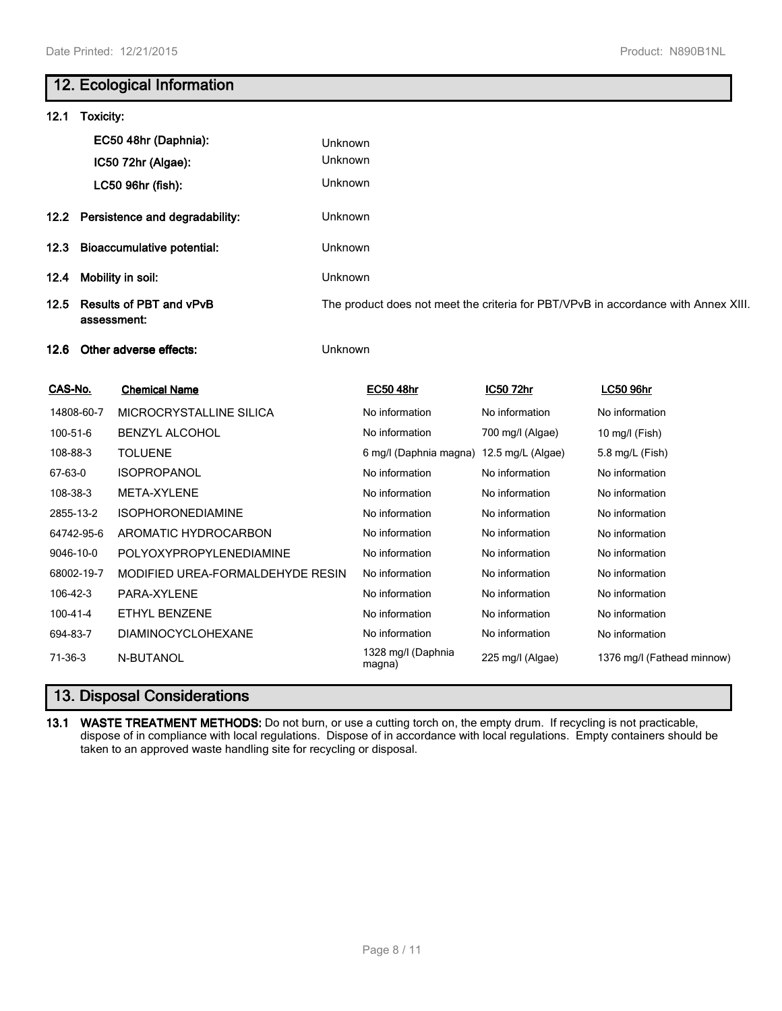## **12. Ecological Information**

| 12.1     | Toxicity:                                     |                                     |                                                                                    |                                          |                  |                  |  |
|----------|-----------------------------------------------|-------------------------------------|------------------------------------------------------------------------------------|------------------------------------------|------------------|------------------|--|
|          |                                               | EC50 48hr (Daphnia):                | <b>Unknown</b>                                                                     |                                          |                  |                  |  |
|          |                                               | IC50 72hr (Algae):                  | Unknown                                                                            |                                          |                  |                  |  |
|          |                                               | LC50 96hr (fish):                   | <b>Unknown</b>                                                                     |                                          |                  |                  |  |
|          |                                               | 12.2 Persistence and degradability: | <b>Unknown</b>                                                                     |                                          |                  |                  |  |
| 12.3     | <b>Bioaccumulative potential:</b>             |                                     | <b>Unknown</b>                                                                     |                                          |                  |                  |  |
| 12.4     | Mobility in soil:                             |                                     | <b>Unknown</b>                                                                     |                                          |                  |                  |  |
| 12.5     | <b>Results of PBT and vPvB</b><br>assessment: |                                     | The product does not meet the criteria for PBT/VPvB in accordance with Annex XIII. |                                          |                  |                  |  |
| 12.6     | Other adverse effects:                        |                                     | <b>Unknown</b>                                                                     |                                          |                  |                  |  |
| CAS-No.  |                                               | <b>Chemical Name</b>                |                                                                                    | <b>EC50 48hr</b>                         | IC50 72hr        | <b>LC50 96hr</b> |  |
|          | 14808-60-7                                    | MICROCRYSTALLINE SILICA             |                                                                                    | No information                           | No information   | No information   |  |
| 100-51-6 |                                               | <b>BENZYL ALCOHOL</b>               |                                                                                    | No information                           | 700 mg/l (Algae) | 10 mg/l (Fish)   |  |
| 108-88-3 |                                               | <b>TOLUENE</b>                      |                                                                                    | 6 mg/l (Daphnia magna) 12.5 mg/L (Algae) |                  | 5.8 mg/L (Fish)  |  |

| 100-51-6   | <b>BENZYL ALCOHOL</b>            | No information               | 700 mg/l (Algae)  | 10 mg/l (Fish)               |
|------------|----------------------------------|------------------------------|-------------------|------------------------------|
| 108-88-3   | <b>TOLUENE</b>                   | 6 mg/l (Daphnia magna)       | 12.5 mg/L (Algae) | $5.8 \,\mathrm{mg/L}$ (Fish) |
| 67-63-0    | <b>ISOPROPANOL</b>               | No information               | No information    | No information               |
| 108-38-3   | META-XYLENE                      | No information               | No information    | No information               |
| 2855-13-2  | <b>ISOPHORONEDIAMINE</b>         | No information               | No information    | No information               |
| 64742-95-6 | AROMATIC HYDROCARBON             | No information               | No information    | No information               |
| 9046-10-0  | POLYOXYPROPYLENEDIAMINE          | No information               | No information    | No information               |
| 68002-19-7 | MODIFIED UREA-FORMALDEHYDE RESIN | No information               | No information    | No information               |
| 106-42-3   | PARA-XYLENE                      | No information               | No information    | No information               |
| 100-41-4   | ETHYL BENZENE                    | No information               | No information    | No information               |
| 694-83-7   | <b>DIAMINOCYCLOHEXANE</b>        | No information               | No information    | No information               |
| 71-36-3    | N-BUTANOL                        | 1328 mg/l (Daphnia<br>magna) | 225 mg/l (Algae)  | 1376 mg/l (Fathead minnow)   |
|            |                                  |                              |                   |                              |

# **13. Disposal Considerations**

**13.1 WASTE TREATMENT METHODS:** Do not burn, or use a cutting torch on, the empty drum. If recycling is not practicable, dispose of in compliance with local regulations. Dispose of in accordance with local regulations. Empty containers should be taken to an approved waste handling site for recycling or disposal.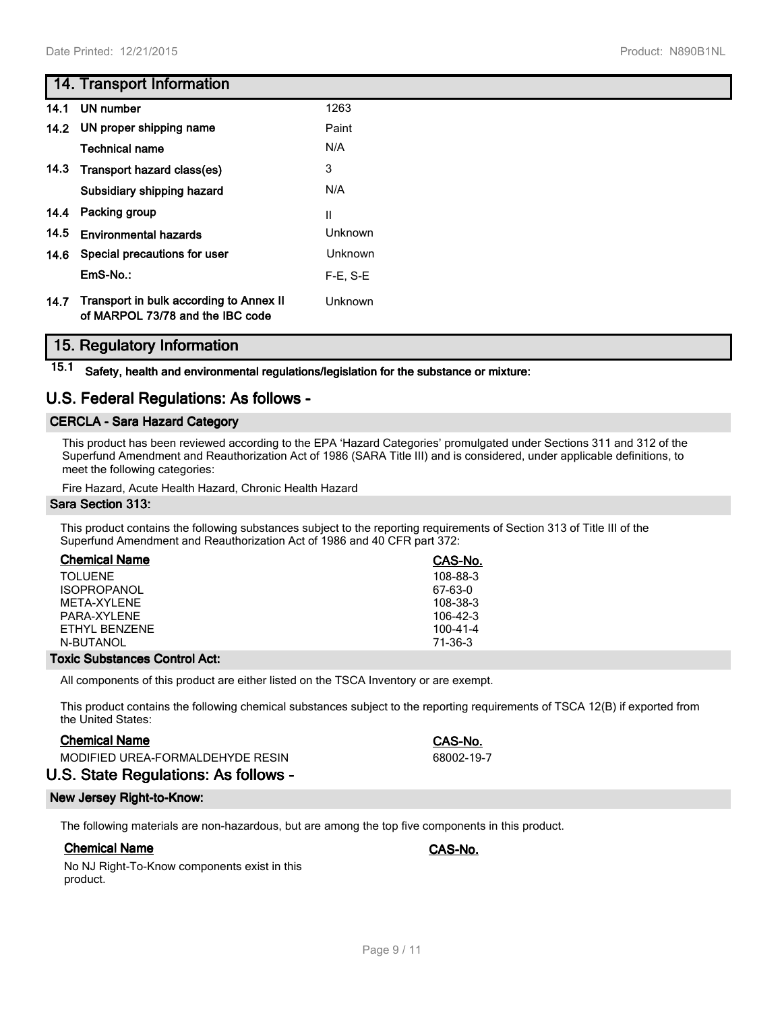## **14. Transport Information**

|  | 110000C | . . |
|--|---------|-----|
|  |         |     |
|  |         |     |
|  |         |     |
|  |         |     |

| 14.1 | UN number                                                                   | 1263           |
|------|-----------------------------------------------------------------------------|----------------|
| 14.2 | UN proper shipping name                                                     | Paint          |
|      | <b>Technical name</b>                                                       | N/A            |
|      | 14.3 Transport hazard class(es)                                             | 3              |
|      | Subsidiary shipping hazard                                                  | N/A            |
|      | 14.4 Packing group                                                          | $\mathbf{I}$   |
| 14.5 | <b>Environmental hazards</b>                                                | <b>Unknown</b> |
|      | 14.6 Special precautions for user                                           | <b>Unknown</b> |
|      | EmS-No.:                                                                    | $F-E$ , $S-E$  |
| 14.7 | Transport in bulk according to Annex II<br>of MARPOL 73/78 and the IBC code | Unknown        |

## **15. Regulatory Information**

**15.1 Safety, health and environmental regulations/legislation for the substance or mixture:**

## **U.S. Federal Regulations: As follows -**

## **CERCLA - Sara Hazard Category**

This product has been reviewed according to the EPA 'Hazard Categories' promulgated under Sections 311 and 312 of the Superfund Amendment and Reauthorization Act of 1986 (SARA Title III) and is considered, under applicable definitions, to meet the following categories:

Fire Hazard, Acute Health Hazard, Chronic Health Hazard

#### **Sara Section 313:**

This product contains the following substances subject to the reporting requirements of Section 313 of Title III of the Superfund Amendment and Reauthorization Act of 1986 and 40 CFR part 372:

| <b>Chemical Name</b> | CAS-No.    |
|----------------------|------------|
| TOI UFNE             | 108-88-3   |
| <b>ISOPROPANOL</b>   | 67-63-0    |
| MFTA-XYI FNF         | 108-38-3   |
| PARA-XYI FNF         | $106-42-3$ |
| FTHYL BENZENE        | 100-41-4   |
| N-BUTANOL            | 71-36-3    |

## **Toxic Substances Control Act:**

All components of this product are either listed on the TSCA Inventory or are exempt.

This product contains the following chemical substances subject to the reporting requirements of TSCA 12(B) if exported from the United States:

## **Chemical Name CAS-No.**

MODIFIED UREA-FORMALDEHYDE RESIN 68002-19-7

**U.S. State Regulations: As follows -**

## **New Jersey Right-to-Know:**

The following materials are non-hazardous, but are among the top five components in this product.

## **Chemical Name CAS-No.**

No NJ Right-To-Know components exist in this product.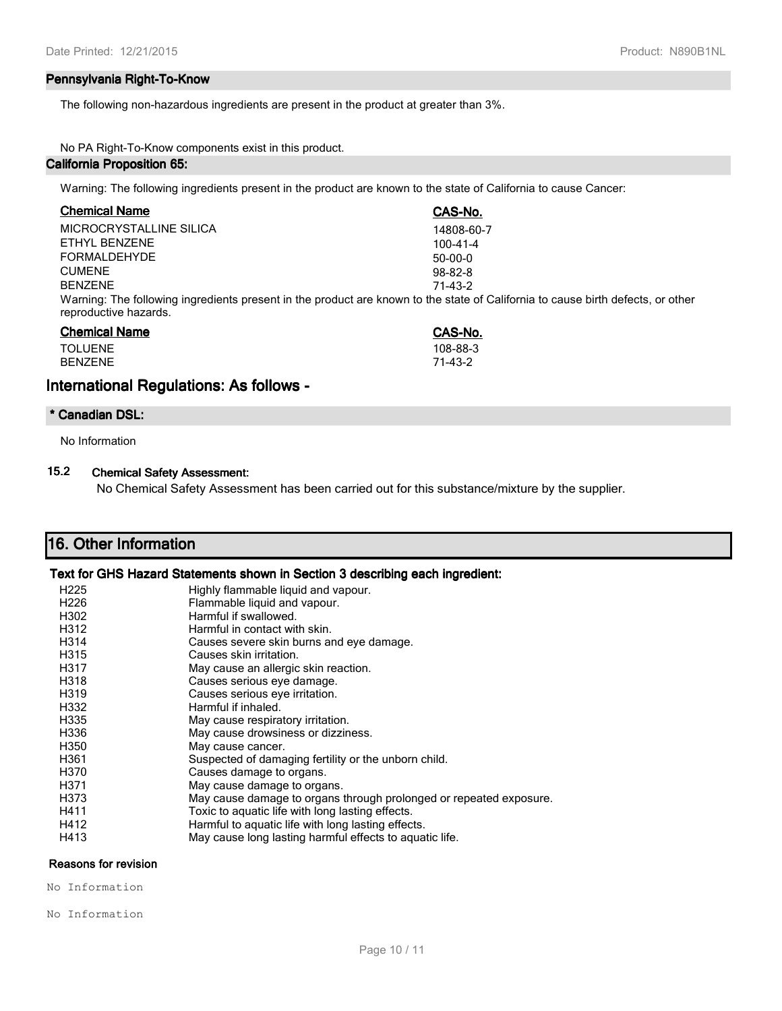## **Pennsylvania Right-To-Know**

The following non-hazardous ingredients are present in the product at greater than 3%.

## No PA Right-To-Know components exist in this product.

## **California Proposition 65:**

Warning: The following ingredients present in the product are known to the state of California to cause Cancer:

| <b>Chemical Name</b>    | CAS-No.                                                                                                                         |
|-------------------------|---------------------------------------------------------------------------------------------------------------------------------|
| MICROCRYSTALLINE SILICA | 14808-60-7                                                                                                                      |
| ETHYL BENZENE           | $100 - 41 - 4$                                                                                                                  |
| <b>FORMALDEHYDE</b>     | $50-00-0$                                                                                                                       |
| <b>CUMENE</b>           | $98 - 82 - 8$                                                                                                                   |
| <b>BENZENE</b>          | 71-43-2                                                                                                                         |
| reproductive hazards.   | Warning: The following ingredients present in the product are known to the state of California to cause birth defects, or other |
| <b>Chemical Name</b>    | CAS-No.                                                                                                                         |
| <b>TOLUENE</b>          | 108-88-3                                                                                                                        |
| <b>BFN7FNF</b>          | 71-43-2                                                                                                                         |

## **International Regulations: As follows -**

#### **\* Canadian DSL:**

No Information

## **15.2 Chemical Safety Assessment:**

No Chemical Safety Assessment has been carried out for this substance/mixture by the supplier.

| 16. Other Information                                                         |                                     |  |  |  |
|-------------------------------------------------------------------------------|-------------------------------------|--|--|--|
| Text for GHS Hazard Statements shown in Section 3 describing each ingredient: |                                     |  |  |  |
| H <sub>225</sub>                                                              | Highly flammable liquid and vapour. |  |  |  |

| H <sub>226</sub>  | Flammable liquid and vapour.                                       |
|-------------------|--------------------------------------------------------------------|
| H302              | Harmful if swallowed.                                              |
| H312              | Harmful in contact with skin.                                      |
| H314              | Causes severe skin burns and eye damage.                           |
| H315              | Causes skin irritation.                                            |
| H317              | May cause an allergic skin reaction.                               |
| H318              | Causes serious eye damage.                                         |
| H <sub>3</sub> 19 | Causes serious eye irritation.                                     |
| H332              | Harmful if inhaled.                                                |
| H335              | May cause respiratory irritation.                                  |
| H336              | May cause drowsiness or dizziness.                                 |
| H350              | May cause cancer.                                                  |
| H361              | Suspected of damaging fertility or the unborn child.               |
| H370              | Causes damage to organs.                                           |
| H371              | May cause damage to organs.                                        |
| H373              | May cause damage to organs through prolonged or repeated exposure. |
| H411              | Toxic to aquatic life with long lasting effects.                   |
| H412              | Harmful to aquatic life with long lasting effects.                 |
| H413              | May cause long lasting harmful effects to aquatic life.            |

## **Reasons for revision**

No Information

No Information